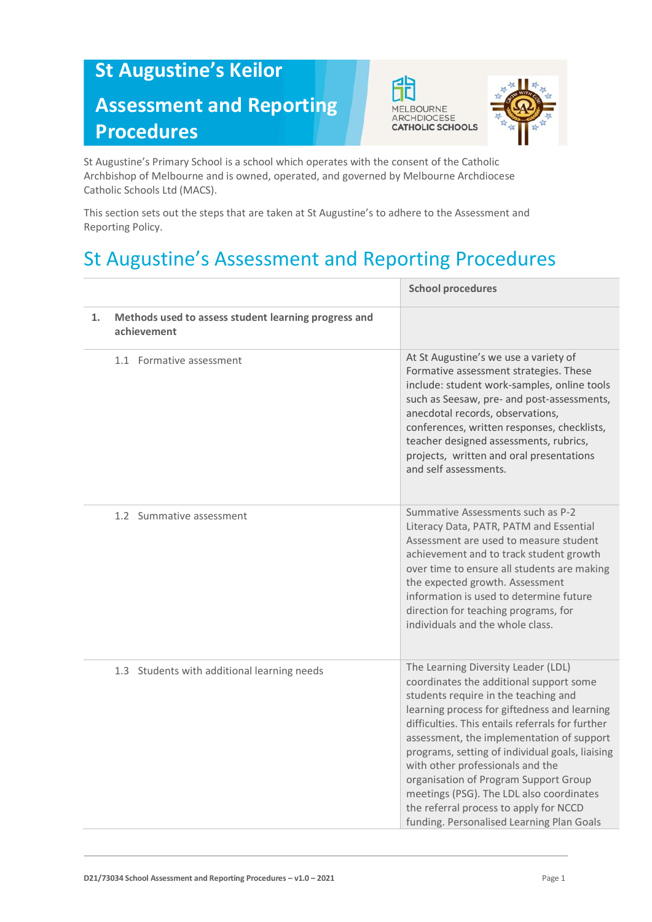## **St Augustine's Keilor Assessment and Reporting Procedures**





St Augustine's Primary School is a school which operates with the consent of the Catholic Archbishop of Melbourne and is owned, operated, and governed by Melbourne Archdiocese Catholic Schools Ltd (MACS).

This section sets out the steps that are taken at St Augustine's to adhere to the Assessment and Reporting Policy.

## St Augustine's Assessment and Reporting Procedures

|    |                                                                     | <b>School procedures</b>                                                                                                                                                                                                                                                                                                                                                                                                                                                                                                                   |
|----|---------------------------------------------------------------------|--------------------------------------------------------------------------------------------------------------------------------------------------------------------------------------------------------------------------------------------------------------------------------------------------------------------------------------------------------------------------------------------------------------------------------------------------------------------------------------------------------------------------------------------|
| 1. | Methods used to assess student learning progress and<br>achievement |                                                                                                                                                                                                                                                                                                                                                                                                                                                                                                                                            |
|    | 1.1 Formative assessment                                            | At St Augustine's we use a variety of<br>Formative assessment strategies. These<br>include: student work-samples, online tools<br>such as Seesaw, pre- and post-assessments,<br>anecdotal records, observations,<br>conferences, written responses, checklists,<br>teacher designed assessments, rubrics,<br>projects, written and oral presentations<br>and self assessments.                                                                                                                                                             |
|    | 1.2 Summative assessment                                            | Summative Assessments such as P-2<br>Literacy Data, PATR, PATM and Essential<br>Assessment are used to measure student<br>achievement and to track student growth<br>over time to ensure all students are making<br>the expected growth. Assessment<br>information is used to determine future<br>direction for teaching programs, for<br>individuals and the whole class.                                                                                                                                                                 |
|    | 1.3 Students with additional learning needs                         | The Learning Diversity Leader (LDL)<br>coordinates the additional support some<br>students require in the teaching and<br>learning process for giftedness and learning<br>difficulties. This entails referrals for further<br>assessment, the implementation of support<br>programs, setting of individual goals, liaising<br>with other professionals and the<br>organisation of Program Support Group<br>meetings (PSG). The LDL also coordinates<br>the referral process to apply for NCCD<br>funding. Personalised Learning Plan Goals |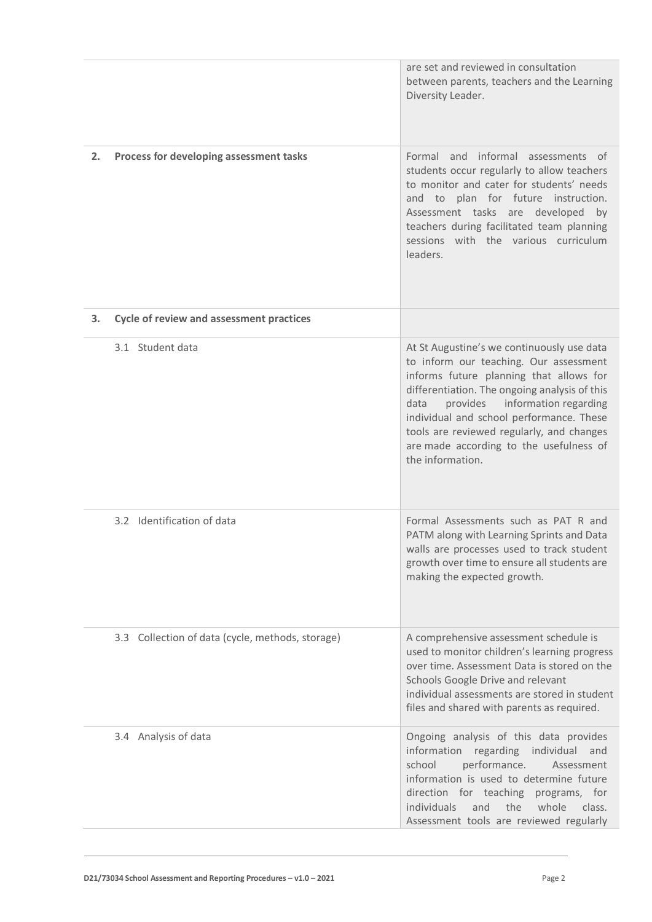|    |                                                  | are set and reviewed in consultation<br>between parents, teachers and the Learning<br>Diversity Leader.                                                                                                                                                                                                                                                                            |
|----|--------------------------------------------------|------------------------------------------------------------------------------------------------------------------------------------------------------------------------------------------------------------------------------------------------------------------------------------------------------------------------------------------------------------------------------------|
| 2. | Process for developing assessment tasks          | Formal and informal assessments of<br>students occur regularly to allow teachers<br>to monitor and cater for students' needs<br>and to plan for future instruction.<br>Assessment tasks are developed by<br>teachers during facilitated team planning<br>sessions with the various curriculum<br>leaders.                                                                          |
| З. | <b>Cycle of review and assessment practices</b>  |                                                                                                                                                                                                                                                                                                                                                                                    |
|    | 3.1 Student data                                 | At St Augustine's we continuously use data<br>to inform our teaching. Our assessment<br>informs future planning that allows for<br>differentiation. The ongoing analysis of this<br>provides information regarding<br>data<br>individual and school performance. These<br>tools are reviewed regularly, and changes<br>are made according to the usefulness of<br>the information. |
|    | 3.2 Identification of data                       | Formal Assessments such as PAT R and<br>PATM along with Learning Sprints and Data<br>walls are processes used to track student<br>growth over time to ensure all students are<br>making the expected growth.                                                                                                                                                                       |
|    | 3.3 Collection of data (cycle, methods, storage) | A comprehensive assessment schedule is<br>used to monitor children's learning progress<br>over time. Assessment Data is stored on the<br>Schools Google Drive and relevant<br>individual assessments are stored in student<br>files and shared with parents as required.                                                                                                           |
|    | 3.4 Analysis of data                             | Ongoing analysis of this data provides<br>information regarding individual<br>and<br>school<br>performance.<br>Assessment<br>information is used to determine future<br>direction for teaching programs, for<br>individuals<br>the<br>whole<br>and<br>class.<br>Assessment tools are reviewed regularly                                                                            |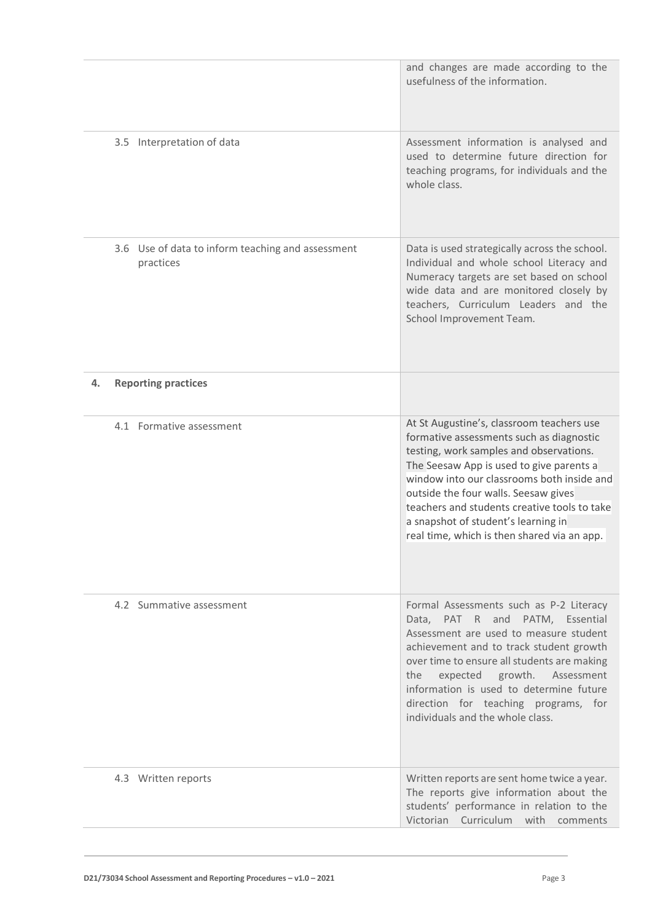|    |                                                                | and changes are made according to the<br>usefulness of the information.                                                                                                                                                                                                                                                                                                                                  |
|----|----------------------------------------------------------------|----------------------------------------------------------------------------------------------------------------------------------------------------------------------------------------------------------------------------------------------------------------------------------------------------------------------------------------------------------------------------------------------------------|
|    | 3.5 Interpretation of data                                     | Assessment information is analysed and<br>used to determine future direction for<br>teaching programs, for individuals and the<br>whole class.                                                                                                                                                                                                                                                           |
|    | 3.6 Use of data to inform teaching and assessment<br>practices | Data is used strategically across the school.<br>Individual and whole school Literacy and<br>Numeracy targets are set based on school<br>wide data and are monitored closely by<br>teachers, Curriculum Leaders and the<br>School Improvement Team.                                                                                                                                                      |
| 4. | <b>Reporting practices</b>                                     |                                                                                                                                                                                                                                                                                                                                                                                                          |
|    | 4.1 Formative assessment                                       | At St Augustine's, classroom teachers use<br>formative assessments such as diagnostic<br>testing, work samples and observations.<br>The Seesaw App is used to give parents a<br>window into our classrooms both inside and<br>outside the four walls. Seesaw gives<br>teachers and students creative tools to take<br>a snapshot of student's learning in<br>real time, which is then shared via an app. |
|    | 4.2 Summative assessment                                       | Formal Assessments such as P-2 Literacy<br>Data, PAT R and PATM, Essential<br>Assessment are used to measure student<br>achievement and to track student growth<br>over time to ensure all students are making<br>expected growth.<br>Assessment<br>the<br>information is used to determine future<br>direction for teaching programs, for<br>individuals and the whole class.                           |
|    | 4.3 Written reports                                            | Written reports are sent home twice a year.<br>The reports give information about the<br>students' performance in relation to the<br>Victorian Curriculum with comments                                                                                                                                                                                                                                  |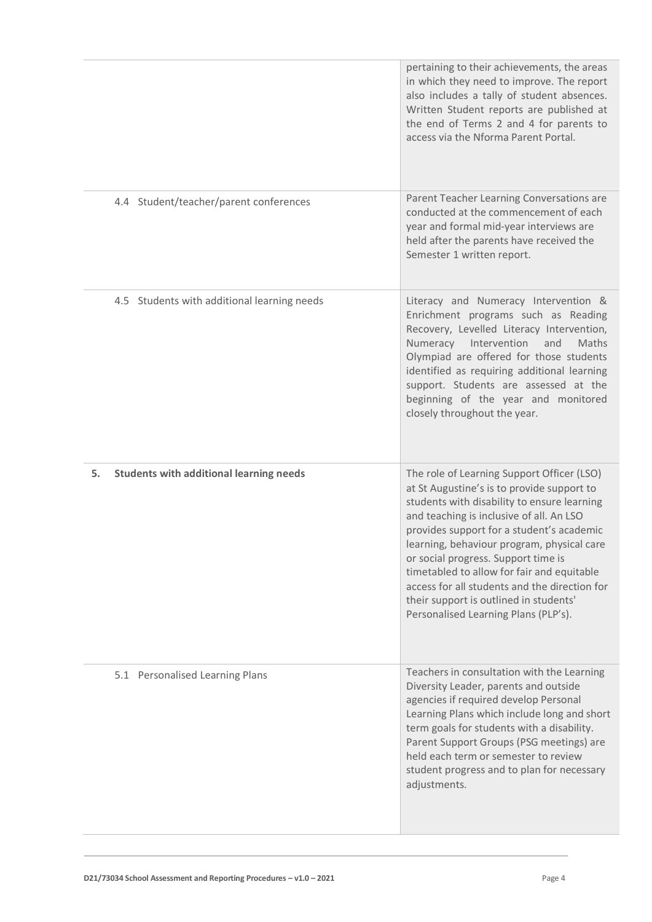| 4.4 Student/teacher/parent conferences               | pertaining to their achievements, the areas<br>in which they need to improve. The report<br>also includes a tally of student absences.<br>Written Student reports are published at<br>the end of Terms 2 and 4 for parents to<br>access via the Nforma Parent Portal.<br>Parent Teacher Learning Conversations are                                                                                                                                                                                     |
|------------------------------------------------------|--------------------------------------------------------------------------------------------------------------------------------------------------------------------------------------------------------------------------------------------------------------------------------------------------------------------------------------------------------------------------------------------------------------------------------------------------------------------------------------------------------|
|                                                      | conducted at the commencement of each<br>year and formal mid-year interviews are<br>held after the parents have received the<br>Semester 1 written report.                                                                                                                                                                                                                                                                                                                                             |
| 4.5 Students with additional learning needs          | Literacy and Numeracy Intervention &<br>Enrichment programs such as Reading<br>Recovery, Levelled Literacy Intervention,<br>Numeracy Intervention<br>and<br>Maths<br>Olympiad are offered for those students<br>identified as requiring additional learning<br>support. Students are assessed at the<br>beginning of the year and monitored<br>closely throughout the year.                                                                                                                            |
| <b>Students with additional learning needs</b><br>5. | The role of Learning Support Officer (LSO)<br>at St Augustine's is to provide support to<br>students with disability to ensure learning<br>and teaching is inclusive of all. An LSO<br>provides support for a student's academic<br>learning, behaviour program, physical care<br>or social progress. Support time is<br>timetabled to allow for fair and equitable<br>access for all students and the direction for<br>their support is outlined in students'<br>Personalised Learning Plans (PLP's). |
| 5.1 Personalised Learning Plans                      | Teachers in consultation with the Learning<br>Diversity Leader, parents and outside<br>agencies if required develop Personal<br>Learning Plans which include long and short<br>term goals for students with a disability.<br>Parent Support Groups (PSG meetings) are<br>held each term or semester to review<br>student progress and to plan for necessary<br>adjustments.                                                                                                                            |